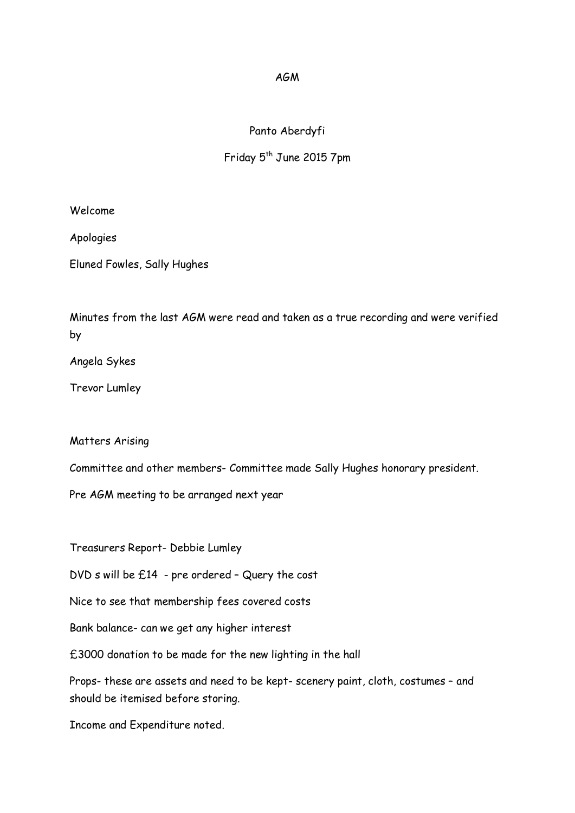## AGM

## Panto Aberdyfi

## Friday 5<sup>th</sup> June 2015 7pm

Welcome

Apologies

Eluned Fowles, Sally Hughes

Minutes from the last AGM were read and taken as a true recording and were verified by

Angela Sykes

Trevor Lumley

Matters Arising

Committee and other members- Committee made Sally Hughes honorary president.

Pre AGM meeting to be arranged next year

Treasurers Report- Debbie Lumley

DVD s will be £14 - pre ordered – Query the cost

Nice to see that membership fees covered costs

Bank balance- can we get any higher interest

£3000 donation to be made for the new lighting in the hall

Props- these are assets and need to be kept- scenery paint, cloth, costumes – and should be itemised before storing.

Income and Expenditure noted.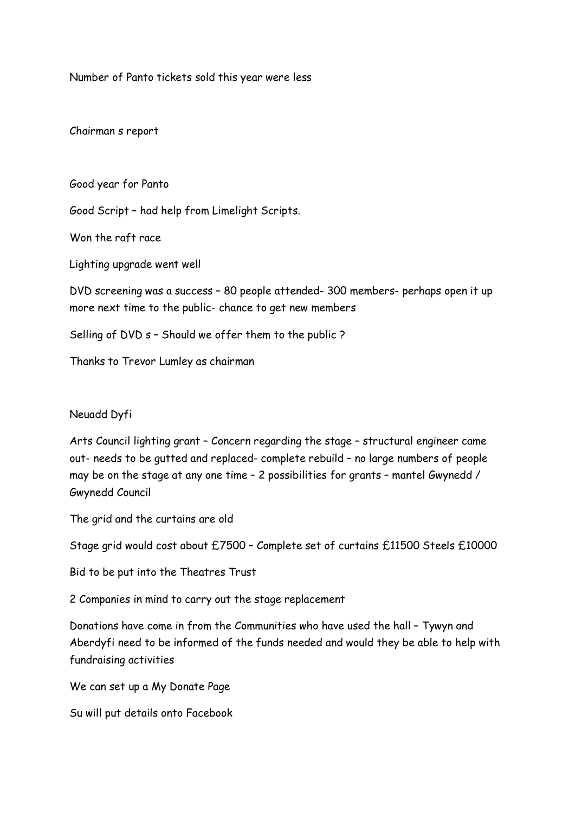Number of Panto tickets sold this year were less

Chairman s report

Good year for Panto

Good Script – had help from Limelight Scripts.

Won the raft race

Lighting upgrade went well

DVD screening was a success – 80 people attended- 300 members- perhaps open it up more next time to the public- chance to get new members

Selling of DVD s – Should we offer them to the public ?

Thanks to Trevor Lumley as chairman

## Neuadd Dyfi

Arts Council lighting grant – Concern regarding the stage – structural engineer came out- needs to be gutted and replaced- complete rebuild – no large numbers of people may be on the stage at any one time – 2 possibilities for grants – mantel Gwynedd / Gwynedd Council

The grid and the curtains are old

Stage grid would cost about £7500 – Complete set of curtains £11500 Steels £10000

Bid to be put into the Theatres Trust

2 Companies in mind to carry out the stage replacement

Donations have come in from the Communities who have used the hall – Tywyn and Aberdyfi need to be informed of the funds needed and would they be able to help with fundraising activities

We can set up a My Donate Page

Su will put details onto Facebook